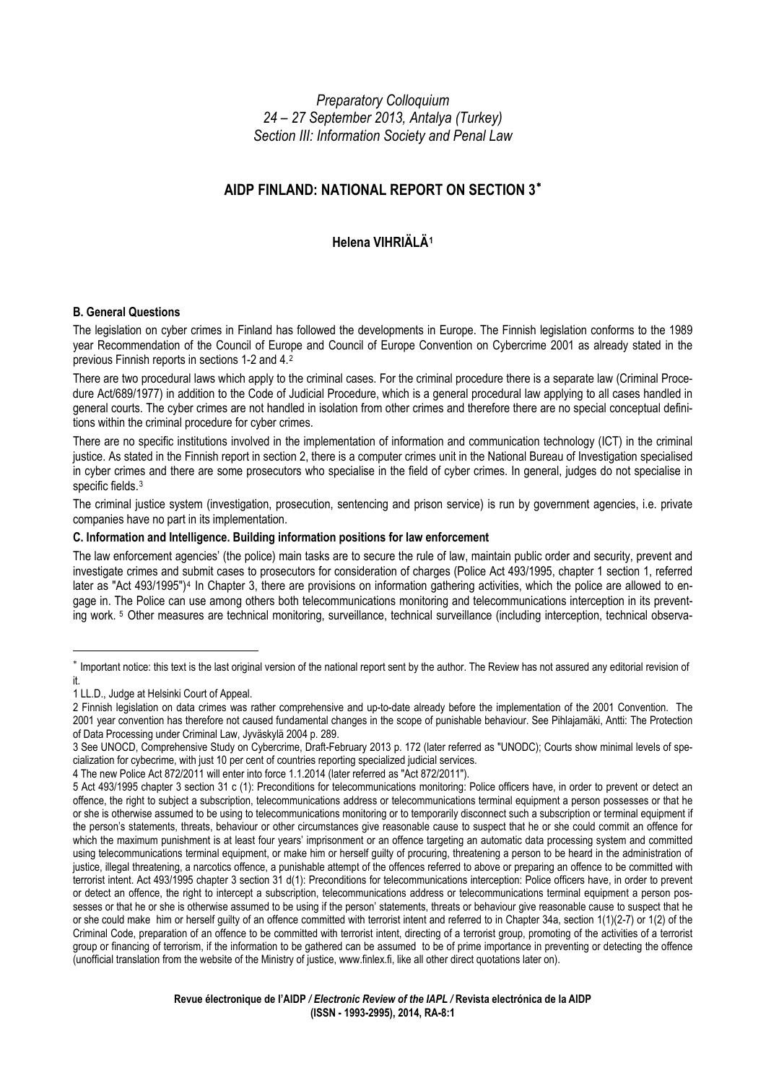*Preparatory Colloquium 24 – 27 September 2013, Antalya (Turkey) Section III: Information Society and Penal Law*

# **AIDP FINLAND: NATIONAL REPORT ON SECTION 3**[∗](#page-0-0)

# **Helena VIHRIÄLÄ[1](#page-0-1)**

## **B. General Questions**

The legislation on cyber crimes in Finland has followed the developments in Europe. The Finnish legislation conforms to the 1989 year Recommendation of the Council of Europe and Council of Europe Convention on Cybercrime 2001 as already stated in the previous Finnish reports in sections 1-2 and 4.[2](#page-0-2)

There are two procedural laws which apply to the criminal cases. For the criminal procedure there is a separate law (Criminal Procedure Act/689/1977) in addition to the Code of Judicial Procedure, which is a general procedural law applying to all cases handled in general courts. The cyber crimes are not handled in isolation from other crimes and therefore there are no special conceptual definitions within the criminal procedure for cyber crimes.

There are no specific institutions involved in the implementation of information and communication technology (ICT) in the criminal justice. As stated in the Finnish report in section 2, there is a computer crimes unit in the National Bureau of Investigation specialised in cyber crimes and there are some prosecutors who specialise in the field of cyber crimes. In general, judges do not specialise in specific fields.<sup>[3](#page-0-3)</sup>

The criminal justice system (investigation, prosecution, sentencing and prison service) is run by government agencies, i.e. private companies have no part in its implementation.

### **C. Information and Intelligence. Building information positions for law enforcement**

The law enforcement agencies' (the police) main tasks are to secure the rule of law, maintain public order and security, prevent and investigate crimes and submit cases to prosecutors for consideration of charges (Police Act 493/1995, chapter 1 section 1, referred later as "Act [4](#page-0-4)93/1995")<sup>4</sup> In Chapter 3, there are provisions on information gathering activities, which the police are allowed to engage in. The Police can use among others both telecommunications monitoring and telecommunications interception in its preventing work. [5](#page-0-5) Other measures are technical monitoring, surveillance, technical surveillance (including interception, technical observa-

<span id="page-0-0"></span><sup>∗</sup> Important notice: this text is the last original version of the national report sent by the author. The Review has not assured any editorial revision of it.

<span id="page-0-1"></span><sup>1</sup> LL.D., Judge at Helsinki Court of Appeal.

<span id="page-0-2"></span><sup>2</sup> Finnish legislation on data crimes was rather comprehensive and up-to-date already before the implementation of the 2001 Convention. The 2001 year convention has therefore not caused fundamental changes in the scope of punishable behaviour. See Pihlajamäki, Antti: The Protection of Data Processing under Criminal Law, Jyväskylä 2004 p. 289.

<span id="page-0-3"></span><sup>3</sup> See UNOCD, Comprehensive Study on Cybercrime, Draft-February 2013 p. 172 (later referred as "UNODC); Courts show minimal levels of specialization for cybecrime, with just 10 per cent of countries reporting specialized judicial services.

<span id="page-0-4"></span><sup>4</sup> The new Police Act 872/2011 will enter into force 1.1.2014 (later referred as "Act 872/2011").

<span id="page-0-5"></span><sup>5</sup> Act 493/1995 chapter 3 section 31 c (1): Preconditions for telecommunications monitoring: Police officers have, in order to prevent or detect an offence, the right to subject a subscription, telecommunications address or telecommunications terminal equipment a person possesses or that he or she is otherwise assumed to be using to telecommunications monitoring or to temporarily disconnect such a subscription or terminal equipment if the person's statements, threats, behaviour or other circumstances give reasonable cause to suspect that he or she could commit an offence for which the maximum punishment is at least four years' imprisonment or an offence targeting an automatic data processing system and committed using telecommunications terminal equipment, or make him or herself guilty of procuring, threatening a person to be heard in the administration of justice, illegal threatening, a narcotics offence, a punishable attempt of the offences referred to above or preparing an offence to be committed with terrorist intent. Act 493/1995 chapter 3 section 31 d(1): Preconditions for telecommunications interception: Police officers have, in order to prevent or detect an offence, the right to intercept a subscription, telecommunications address or telecommunications terminal equipment a person possesses or that he or she is otherwise assumed to be using if the person' statements, threats or behaviour give reasonable cause to suspect that he or she could make him or herself guilty of an offence committed with terrorist intent and referred to in Chapter 34a, section 1(1)(2-7) or 1(2) of the Criminal Code, preparation of an offence to be committed with terrorist intent, directing of a terrorist group, promoting of the activities of a terrorist group or financing of terrorism, if the information to be gathered can be assumed to be of prime importance in preventing or detecting the offence (unofficial translation from the website of the Ministry of justice, www.finlex.fi, like all other direct quotations later on).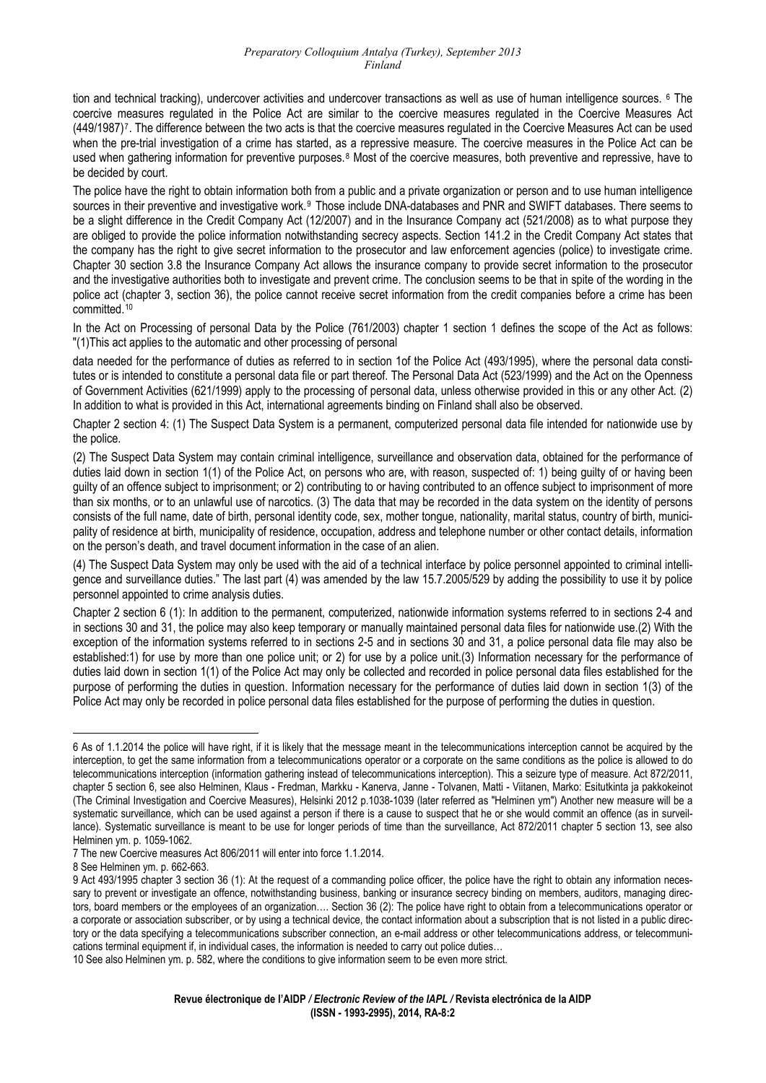tion and technical tracking), undercover activities and undercover transactions as well as use of human intelligence sources. <sup>[6](#page-1-0)</sup> The coercive measures regulated in the Police Act are similar to the coercive measures regulated in the Coercive Measures Act (449/1987)[7](#page-1-1). The difference between the two acts is that the coercive measures regulated in the Coercive Measures Act can be used when the pre-trial investigation of a crime has started, as a repressive measure. The coercive measures in the Police Act can be used when gathering information for preventive purposes.[8](#page-1-2) Most of the coercive measures, both preventive and repressive, have to be decided by court.

The police have the right to obtain information both from a public and a private organization or person and to use human intelligence sources in their preventive and investigative work.<sup>[9](#page-1-3)</sup> Those include DNA-databases and PNR and SWIFT databases. There seems to be a slight difference in the Credit Company Act (12/2007) and in the Insurance Company act (521/2008) as to what purpose they are obliged to provide the police information notwithstanding secrecy aspects. Section 141.2 in the Credit Company Act states that the company has the right to give secret information to the prosecutor and law enforcement agencies (police) to investigate crime. Chapter 30 section 3.8 the Insurance Company Act allows the insurance company to provide secret information to the prosecutor and the investigative authorities both to investigate and prevent crime. The conclusion seems to be that in spite of the wording in the police act (chapter 3, section 36), the police cannot receive secret information from the credit companies before a crime has been committed.[10](#page-1-4)

In the Act on Processing of personal Data by the Police (761/2003) chapter 1 section 1 defines the scope of the Act as follows: "(1)This act applies to the automatic and other processing of personal

data needed for the performance of duties as referred to in section 1of the Police Act (493/1995), where the personal data constitutes or is intended to constitute a personal data file or part thereof. The Personal Data Act (523/1999) and the Act on the Openness of Government Activities (621/1999) apply to the processing of personal data, unless otherwise provided in this or any other Act. (2) In addition to what is provided in this Act, international agreements binding on Finland shall also be observed.

Chapter 2 section 4: (1) The Suspect Data System is a permanent, computerized personal data file intended for nationwide use by the police.

(2) The Suspect Data System may contain criminal intelligence, surveillance and observation data, obtained for the performance of duties laid down in section 1(1) of the Police Act, on persons who are, with reason, suspected of: 1) being guilty of or having been guilty of an offence subject to imprisonment; or 2) contributing to or having contributed to an offence subject to imprisonment of more than six months, or to an unlawful use of narcotics. (3) The data that may be recorded in the data system on the identity of persons consists of the full name, date of birth, personal identity code, sex, mother tongue, nationality, marital status, country of birth, municipality of residence at birth, municipality of residence, occupation, address and telephone number or other contact details, information on the person's death, and travel document information in the case of an alien.

(4) The Suspect Data System may only be used with the aid of a technical interface by police personnel appointed to criminal intelligence and surveillance duties." The last part (4) was amended by the law 15.7.2005/529 by adding the possibility to use it by police personnel appointed to crime analysis duties.

Chapter 2 section 6 (1): In addition to the permanent, computerized, nationwide information systems referred to in sections 2-4 and in sections 30 and 31, the police may also keep temporary or manually maintained personal data files for nationwide use.(2) With the exception of the information systems referred to in sections 2-5 and in sections 30 and 31, a police personal data file may also be established:1) for use by more than one police unit; or 2) for use by a police unit.(3) Information necessary for the performance of duties laid down in section 1(1) of the Police Act may only be collected and recorded in police personal data files established for the purpose of performing the duties in question. Information necessary for the performance of duties laid down in section 1(3) of the Police Act may only be recorded in police personal data files established for the purpose of performing the duties in question.

<span id="page-1-0"></span> $\overline{a}$ 6 As of 1.1.2014 the police will have right, if it is likely that the message meant in the telecommunications interception cannot be acquired by the interception, to get the same information from a telecommunications operator or a corporate on the same conditions as the police is allowed to do telecommunications interception (information gathering instead of telecommunications interception). This a seizure type of measure. Act 872/2011, chapter 5 section 6, see also Helminen, Klaus - Fredman, Markku - Kanerva, Janne - Tolvanen, Matti - Viitanen, Marko: Esitutkinta ja pakkokeinot (The Criminal Investigation and Coercive Measures), Helsinki 2012 p.1038-1039 (later referred as "Helminen ym") Another new measure will be a systematic surveillance, which can be used against a person if there is a cause to suspect that he or she would commit an offence (as in surveillance). Systematic surveillance is meant to be use for longer periods of time than the surveillance, Act 872/2011 chapter 5 section 13, see also Helminen ym. p. 1059-1062.

<span id="page-1-1"></span><sup>7</sup> The new Coercive measures Act 806/2011 will enter into force 1.1.2014.

<span id="page-1-2"></span><sup>8</sup> See Helminen ym. p. 662-663.

<span id="page-1-3"></span><sup>9</sup> Act 493/1995 chapter 3 section 36 (1): At the request of a commanding police officer, the police have the right to obtain any information necessary to prevent or investigate an offence, notwithstanding business, banking or insurance secrecy binding on members, auditors, managing directors, board members or the employees of an organization…. Section 36 (2): The police have right to obtain from a telecommunications operator or a corporate or association subscriber, or by using a technical device, the contact information about a subscription that is not listed in a public directory or the data specifying a telecommunications subscriber connection, an e-mail address or other telecommunications address, or telecommunications terminal equipment if, in individual cases, the information is needed to carry out police duties…

<span id="page-1-4"></span><sup>10</sup> See also Helminen ym. p. 582, where the conditions to give information seem to be even more strict.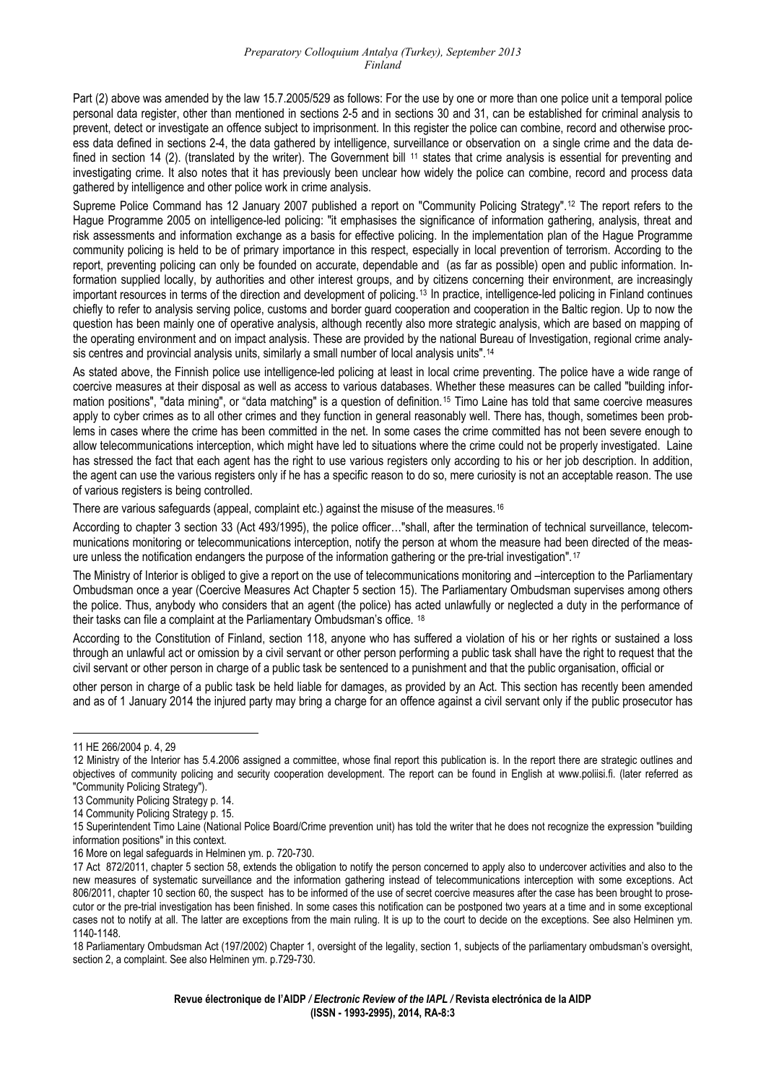#### *Preparatory Colloquium Antalya (Turkey), September 2013 Finland*

Part (2) above was amended by the law 15.7.2005/529 as follows: For the use by one or more than one police unit a temporal police personal data register, other than mentioned in sections 2-5 and in sections 30 and 31, can be established for criminal analysis to prevent, detect or investigate an offence subject to imprisonment. In this register the police can combine, record and otherwise process data defined in sections 2-4, the data gathered by intelligence, surveillance or observation on a single crime and the data de-fined in section 14 (2). (translated by the writer). The Government bill <sup>[11](#page-2-0)</sup> states that crime analysis is essential for preventing and investigating crime. It also notes that it has previously been unclear how widely the police can combine, record and process data gathered by intelligence and other police work in crime analysis.

Supreme Police Command has 12 January 2007 published a report on "Community Policing Strategy".[12](#page-2-1) The report refers to the Hague Programme 2005 on intelligence-led policing: "it emphasises the significance of information gathering, analysis, threat and risk assessments and information exchange as a basis for effective policing. In the implementation plan of the Hague Programme community policing is held to be of primary importance in this respect, especially in local prevention of terrorism. According to the report, preventing policing can only be founded on accurate, dependable and (as far as possible) open and public information. Information supplied locally, by authorities and other interest groups, and by citizens concerning their environment, are increasingly important resources in terms of the direction and development of policing.<sup>[13](#page-2-2)</sup> In practice, intelligence-led policing in Finland continues chiefly to refer to analysis serving police, customs and border guard cooperation and cooperation in the Baltic region. Up to now the question has been mainly one of operative analysis, although recently also more strategic analysis, which are based on mapping of the operating environment and on impact analysis. These are provided by the national Bureau of Investigation, regional crime analysis centres and provincial analysis units, similarly a small number of local analysis units".[14](#page-2-3)

As stated above, the Finnish police use intelligence-led policing at least in local crime preventing. The police have a wide range of coercive measures at their disposal as well as access to various databases. Whether these measures can be called "building infor-mation positions", "data mining", or "data matching" is a question of definition.<sup>[15](#page-2-4)</sup> Timo Laine has told that same coercive measures apply to cyber crimes as to all other crimes and they function in general reasonably well. There has, though, sometimes been problems in cases where the crime has been committed in the net. In some cases the crime committed has not been severe enough to allow telecommunications interception, which might have led to situations where the crime could not be properly investigated. Laine has stressed the fact that each agent has the right to use various registers only according to his or her job description. In addition, the agent can use the various registers only if he has a specific reason to do so, mere curiosity is not an acceptable reason. The use of various registers is being controlled.

There are various safeguards (appeal, complaint etc.) against the misuse of the measures.<sup>[16](#page-2-5)</sup>

According to chapter 3 section 33 (Act 493/1995), the police officer…"shall, after the termination of technical surveillance, telecommunications monitoring or telecommunications interception, notify the person at whom the measure had been directed of the measure unless the notification endangers the purpose of the information gathering or the pre-trial investigation".[17](#page-2-6)

The Ministry of Interior is obliged to give a report on the use of telecommunications monitoring and –interception to the Parliamentary Ombudsman once a year (Coercive Measures Act Chapter 5 section 15). The Parliamentary Ombudsman supervises among others the police. Thus, anybody who considers that an agent (the police) has acted unlawfully or neglected a duty in the performance of their tasks can file a complaint at the Parliamentary Ombudsman's office. [18](#page-2-7)

According to the Constitution of Finland, section 118, anyone who has suffered a violation of his or her rights or sustained a loss through an unlawful act or omission by a civil servant or other person performing a public task shall have the right to request that the civil servant or other person in charge of a public task be sentenced to a punishment and that the public organisation, official or

other person in charge of a public task be held liable for damages, as provided by an Act. This section has recently been amended and as of 1 January 2014 the injured party may bring a charge for an offence against a civil servant only if the public prosecutor has

<span id="page-2-0"></span><sup>11</sup> HE 266/2004 p. 4, 29

<span id="page-2-1"></span><sup>12</sup> Ministry of the Interior has 5.4.2006 assigned a committee, whose final report this publication is. In the report there are strategic outlines and objectives of community policing and security cooperation development. The report can be found in English at www.poliisi.fi. (later referred as "Community Policing Strategy").

<span id="page-2-2"></span><sup>13</sup> Community Policing Strategy p. 14.

<span id="page-2-3"></span><sup>14</sup> Community Policing Strategy p. 15.

<span id="page-2-4"></span><sup>15</sup> Superintendent Timo Laine (National Police Board/Crime prevention unit) has told the writer that he does not recognize the expression "building information positions" in this context.

<sup>16</sup> More on legal safeguards in Helminen ym. p. 720-730.

<span id="page-2-6"></span><span id="page-2-5"></span><sup>17</sup> Act 872/2011, chapter 5 section 58, extends the obligation to notify the person concerned to apply also to undercover activities and also to the new measures of systematic surveillance and the information gathering instead of telecommunications interception with some exceptions. Act 806/2011, chapter 10 section 60, the suspect has to be informed of the use of secret coercive measures after the case has been brought to prosecutor or the pre-trial investigation has been finished. In some cases this notification can be postponed two years at a time and in some exceptional cases not to notify at all. The latter are exceptions from the main ruling. It is up to the court to decide on the exceptions. See also Helminen ym. 1140-1148.

<span id="page-2-7"></span><sup>18</sup> Parliamentary Ombudsman Act (197/2002) Chapter 1, oversight of the legality, section 1, subjects of the parliamentary ombudsman's oversight, section 2, a complaint. See also Helminen ym. p.729-730.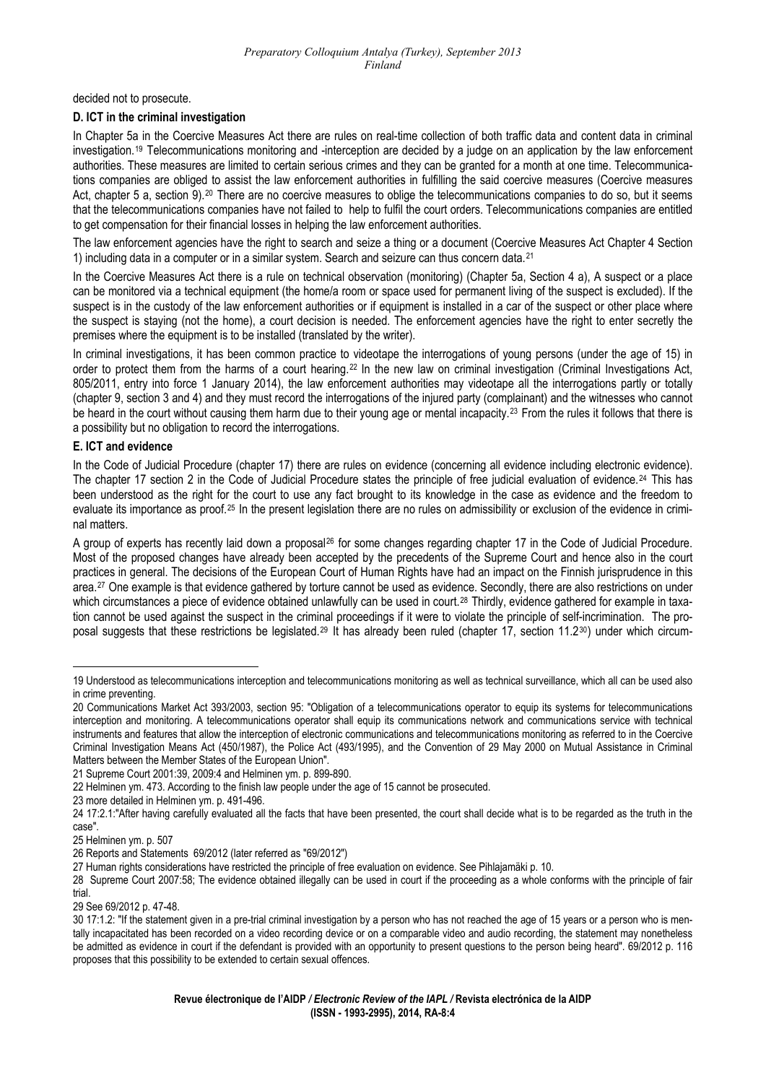decided not to prosecute.

### **D. ICT in the criminal investigation**

In Chapter 5a in the Coercive Measures Act there are rules on real-time collection of both traffic data and content data in criminal investigation.[19](#page-3-0) Telecommunications monitoring and -interception are decided by a judge on an application by the law enforcement authorities. These measures are limited to certain serious crimes and they can be granted for a month at one time. Telecommunications companies are obliged to assist the law enforcement authorities in fulfilling the said coercive measures (Coercive measures Act, chapter 5 a, section 9).<sup>[20](#page-3-1)</sup> There are no coercive measures to oblige the telecommunications companies to do so, but it seems that the telecommunications companies have not failed to help to fulfil the court orders. Telecommunications companies are entitled to get compensation for their financial losses in helping the law enforcement authorities.

The law enforcement agencies have the right to search and seize a thing or a document (Coercive Measures Act Chapter 4 Section 1) including data in a computer or in a similar system. Search and seizure can thus concern data.[21](#page-3-2)

In the Coercive Measures Act there is a rule on technical observation (monitoring) (Chapter 5a, Section 4 a), A suspect or a place can be monitored via a technical equipment (the home/a room or space used for permanent living of the suspect is excluded). If the suspect is in the custody of the law enforcement authorities or if equipment is installed in a car of the suspect or other place where the suspect is staying (not the home), a court decision is needed. The enforcement agencies have the right to enter secretly the premises where the equipment is to be installed (translated by the writer).

In criminal investigations, it has been common practice to videotape the interrogations of young persons (under the age of 15) in order to protect them from the harms of a court hearing.[22](#page-3-3) In the new law on criminal investigation (Criminal Investigations Act, 805/2011, entry into force 1 January 2014), the law enforcement authorities may videotape all the interrogations partly or totally (chapter 9, section 3 and 4) and they must record the interrogations of the injured party (complainant) and the witnesses who cannot be heard in the court without causing them harm due to their young age or mental incapacity.<sup>[23](#page-3-4)</sup> From the rules it follows that there is a possibility but no obligation to record the interrogations.

## **E. ICT and evidence**

In the Code of Judicial Procedure (chapter 17) there are rules on evidence (concerning all evidence including electronic evidence). The chapter 17 section 2 in the Code of Judicial Procedure states the principle of free judicial evaluation of evidence.<sup>[24](#page-3-5)</sup> This has been understood as the right for the court to use any fact brought to its knowledge in the case as evidence and the freedom to evaluate its importance as proof.<sup>[25](#page-3-6)</sup> In the present legislation there are no rules on admissibility or exclusion of the evidence in criminal matters.

A group of experts has recently laid down a proposal[26](#page-3-7) for some changes regarding chapter 17 in the Code of Judicial Procedure. Most of the proposed changes have already been accepted by the precedents of the Supreme Court and hence also in the court practices in general. The decisions of the European Court of Human Rights have had an impact on the Finnish jurisprudence in this area.[27](#page-3-8) One example is that evidence gathered by torture cannot be used as evidence. Secondly, there are also restrictions on under which circumstances a piece of evidence obtained unlawfully can be used in court.<sup>[28](#page-3-9)</sup> Thirdly, evidence gathered for example in taxation cannot be used against the suspect in the criminal proceedings if it were to violate the principle of self-incrimination. The pro-posal suggests that these restrictions be legislated.<sup>[29](#page-3-10)</sup> It has already been ruled (chapter 17, section 11.2<sup>[30](#page-3-11)</sup>) under which circum-

<span id="page-3-4"></span>23 more detailed in Helminen ym. p. 491-496.

<span id="page-3-0"></span><sup>19</sup> Understood as telecommunications interception and telecommunications monitoring as well as technical surveillance, which all can be used also in crime preventing.

<span id="page-3-1"></span><sup>20</sup> Communications Market Act 393/2003, section 95: "Obligation of a telecommunications operator to equip its systems for telecommunications interception and monitoring. A telecommunications operator shall equip its communications network and communications service with technical instruments and features that allow the interception of electronic communications and telecommunications monitoring as referred to in the Coercive Criminal Investigation Means Act (450/1987), the Police Act (493/1995), and the Convention of 29 May 2000 on Mutual Assistance in Criminal Matters between the Member States of the European Union".

<span id="page-3-2"></span><sup>21</sup> Supreme Court 2001:39, 2009:4 and Helminen ym. p. 899-890.

<span id="page-3-3"></span><sup>22</sup> Helminen ym. 473. According to the finish law people under the age of 15 cannot be prosecuted.

<span id="page-3-5"></span><sup>24 17:2.1:&</sup>quot;After having carefully evaluated all the facts that have been presented, the court shall decide what is to be regarded as the truth in the case".

<span id="page-3-6"></span><sup>25</sup> Helminen ym. p. 507

<span id="page-3-7"></span><sup>26</sup> Reports and Statements 69/2012 (later referred as "69/2012")

<span id="page-3-8"></span><sup>27</sup> Human rights considerations have restricted the principle of free evaluation on evidence. See Pihlajamäki p. 10.

<span id="page-3-9"></span><sup>28</sup> Supreme Court 2007:58; The evidence obtained illegally can be used in court if the proceeding as a whole conforms with the principle of fair trial.

<span id="page-3-10"></span><sup>29</sup> See 69/2012 p. 47-48.

<span id="page-3-11"></span><sup>30 17:1.2: &</sup>quot;If the statement given in a pre-trial criminal investigation by a person who has not reached the age of 15 years or a person who is mentally incapacitated has been recorded on a video recording device or on a comparable video and audio recording, the statement may nonetheless be admitted as evidence in court if the defendant is provided with an opportunity to present questions to the person being heard". 69/2012 p. 116 proposes that this possibility to be extended to certain sexual offences.